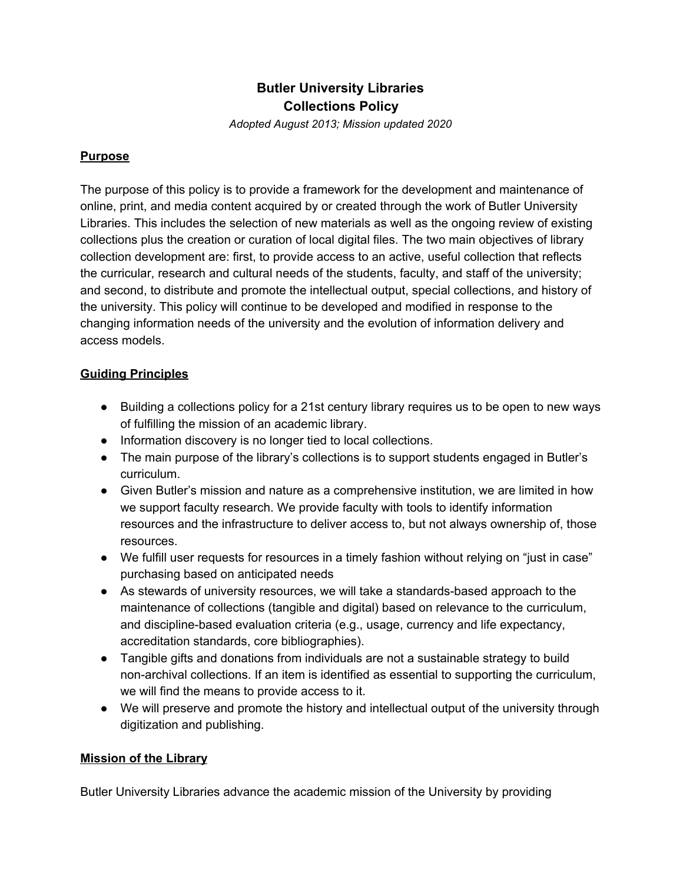# **Butler University Libraries Collections Policy**

*Adopted August 2013; Mission updated 2020*

## **Purpose**

The purpose of this policy is to provide a framework for the development and maintenance of online, print, and media content acquired by or created through the work of Butler University Libraries. This includes the selection of new materials as well as the ongoing review of existing collections plus the creation or curation of local digital files. The two main objectives of library collection development are: first, to provide access to an active, useful collection that reflects the curricular, research and cultural needs of the students, faculty, and staff of the university; and second, to distribute and promote the intellectual output, special collections, and history of the university. This policy will continue to be developed and modified in response to the changing information needs of the university and the evolution of information delivery and access models.

## **Guiding Principles**

- Building a collections policy for a 21st century library requires us to be open to new ways of fulfilling the mission of an academic library.
- Information discovery is no longer tied to local collections.
- The main purpose of the library's collections is to support students engaged in Butler's curriculum.
- Given Butler's mission and nature as a comprehensive institution, we are limited in how we support faculty research. We provide faculty with tools to identify information resources and the infrastructure to deliver access to, but not always ownership of, those resources.
- We fulfill user requests for resources in a timely fashion without relying on "just in case" purchasing based on anticipated needs
- As stewards of university resources, we will take a standards-based approach to the maintenance of collections (tangible and digital) based on relevance to the curriculum, and discipline-based evaluation criteria (e.g., usage, currency and life expectancy, accreditation standards, core bibliographies).
- Tangible gifts and donations from individuals are not a sustainable strategy to build non-archival collections. If an item is identified as essential to supporting the curriculum, we will find the means to provide access to it.
- We will preserve and promote the history and intellectual output of the university through digitization and publishing.

#### **Mission of the Library**

Butler University Libraries advance the academic mission of the University by providing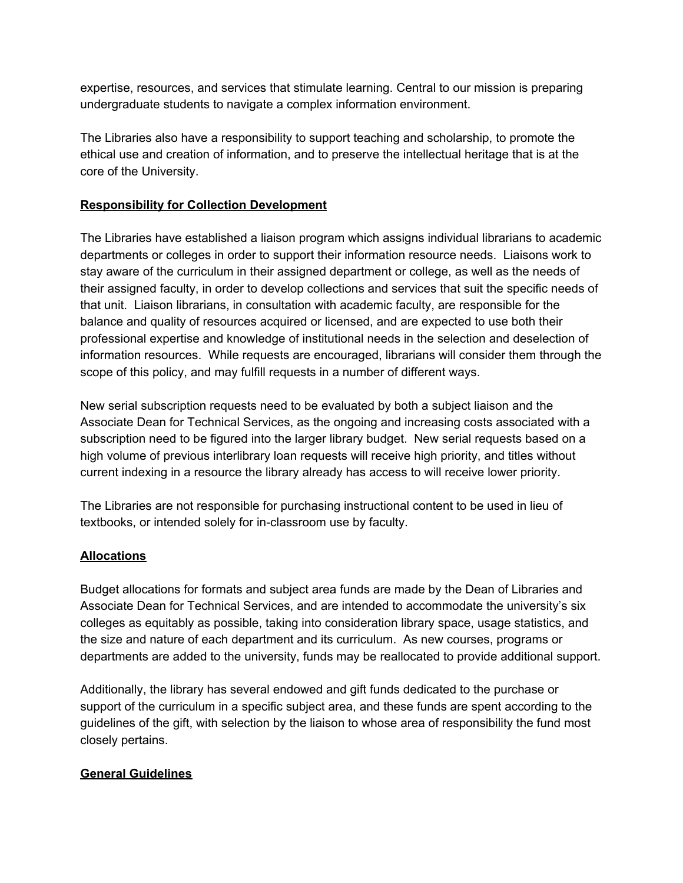expertise, resources, and services that stimulate learning. Central to our mission is preparing undergraduate students to navigate a complex information environment.

The Libraries also have a responsibility to support teaching and scholarship, to promote the ethical use and creation of information, and to preserve the intellectual heritage that is at the core of the University.

# **Responsibility for Collection Development**

The Libraries have established a liaison program which assigns individual librarians to academic departments or colleges in order to support their information resource needs. Liaisons work to stay aware of the curriculum in their assigned department or college, as well as the needs of their assigned faculty, in order to develop collections and services that suit the specific needs of that unit. Liaison librarians, in consultation with academic faculty, are responsible for the balance and quality of resources acquired or licensed, and are expected to use both their professional expertise and knowledge of institutional needs in the selection and deselection of information resources. While requests are encouraged, librarians will consider them through the scope of this policy, and may fulfill requests in a number of different ways.

New serial subscription requests need to be evaluated by both a subject liaison and the Associate Dean for Technical Services, as the ongoing and increasing costs associated with a subscription need to be figured into the larger library budget. New serial requests based on a high volume of previous interlibrary loan requests will receive high priority, and titles without current indexing in a resource the library already has access to will receive lower priority.

The Libraries are not responsible for purchasing instructional content to be used in lieu of textbooks, or intended solely for in-classroom use by faculty.

# **Allocations**

Budget allocations for formats and subject area funds are made by the Dean of Libraries and Associate Dean for Technical Services, and are intended to accommodate the university's six colleges as equitably as possible, taking into consideration library space, usage statistics, and the size and nature of each department and its curriculum. As new courses, programs or departments are added to the university, funds may be reallocated to provide additional support.

Additionally, the library has several endowed and gift funds dedicated to the purchase or support of the curriculum in a specific subject area, and these funds are spent according to the guidelines of the gift, with selection by the liaison to whose area of responsibility the fund most closely pertains.

# **General Guidelines**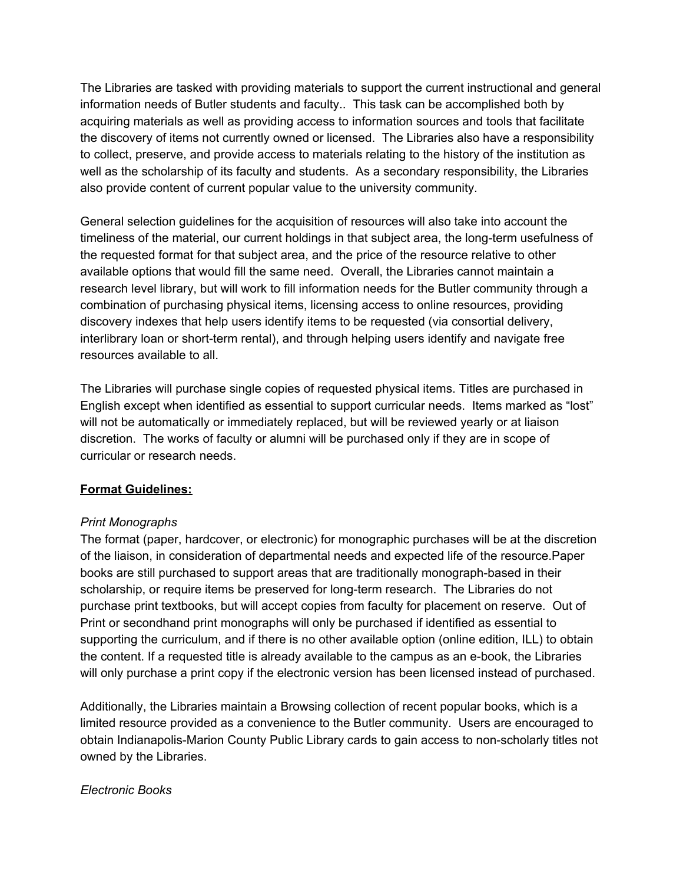The Libraries are tasked with providing materials to support the current instructional and general information needs of Butler students and faculty.. This task can be accomplished both by acquiring materials as well as providing access to information sources and tools that facilitate the discovery of items not currently owned or licensed. The Libraries also have a responsibility to collect, preserve, and provide access to materials relating to the history of the institution as well as the scholarship of its faculty and students. As a secondary responsibility, the Libraries also provide content of current popular value to the university community.

General selection guidelines for the acquisition of resources will also take into account the timeliness of the material, our current holdings in that subject area, the long-term usefulness of the requested format for that subject area, and the price of the resource relative to other available options that would fill the same need. Overall, the Libraries cannot maintain a research level library, but will work to fill information needs for the Butler community through a combination of purchasing physical items, licensing access to online resources, providing discovery indexes that help users identify items to be requested (via consortial delivery, interlibrary loan or short-term rental), and through helping users identify and navigate free resources available to all.

The Libraries will purchase single copies of requested physical items. Titles are purchased in English except when identified as essential to support curricular needs. Items marked as "lost" will not be automatically or immediately replaced, but will be reviewed yearly or at liaison discretion. The works of faculty or alumni will be purchased only if they are in scope of curricular or research needs.

# **Format Guidelines:**

#### *Print Monographs*

The format (paper, hardcover, or electronic) for monographic purchases will be at the discretion of the liaison, in consideration of departmental needs and expected life of the resource.Paper books are still purchased to support areas that are traditionally monograph-based in their scholarship, or require items be preserved for long-term research. The Libraries do not purchase print textbooks, but will accept copies from faculty for placement on reserve. Out of Print or secondhand print monographs will only be purchased if identified as essential to supporting the curriculum, and if there is no other available option (online edition, ILL) to obtain the content. If a requested title is already available to the campus as an e-book, the Libraries will only purchase a print copy if the electronic version has been licensed instead of purchased.

Additionally, the Libraries maintain a Browsing collection of recent popular books, which is a limited resource provided as a convenience to the Butler community. Users are encouraged to obtain Indianapolis-Marion County Public Library cards to gain access to non-scholarly titles not owned by the Libraries.

#### *Electronic Books*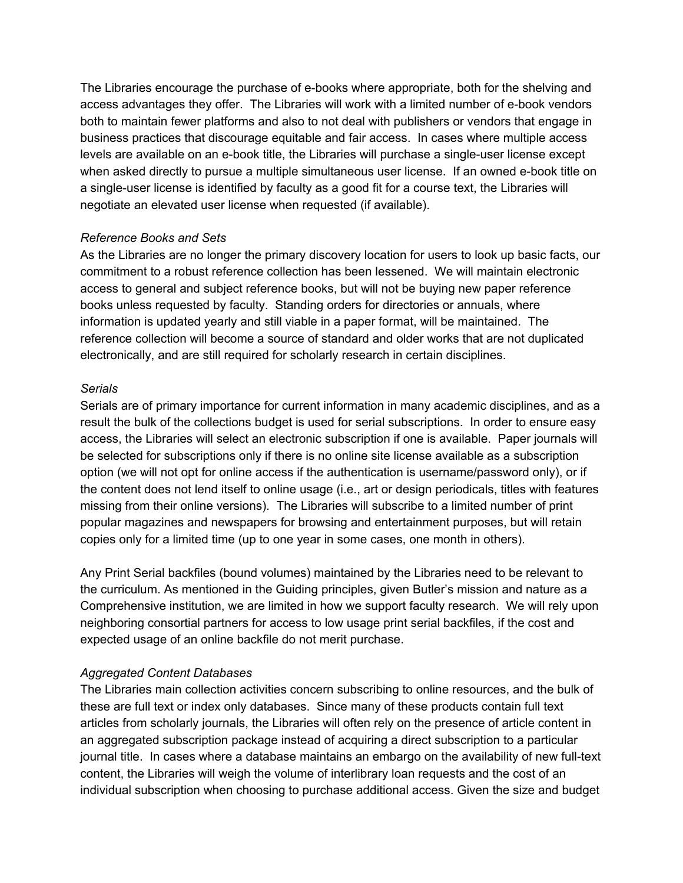The Libraries encourage the purchase of e-books where appropriate, both for the shelving and access advantages they offer. The Libraries will work with a limited number of e-book vendors both to maintain fewer platforms and also to not deal with publishers or vendors that engage in business practices that discourage equitable and fair access. In cases where multiple access levels are available on an e-book title, the Libraries will purchase a single-user license except when asked directly to pursue a multiple simultaneous user license. If an owned e-book title on a single-user license is identified by faculty as a good fit for a course text, the Libraries will negotiate an elevated user license when requested (if available).

## *Reference Books and Sets*

As the Libraries are no longer the primary discovery location for users to look up basic facts, our commitment to a robust reference collection has been lessened. We will maintain electronic access to general and subject reference books, but will not be buying new paper reference books unless requested by faculty. Standing orders for directories or annuals, where information is updated yearly and still viable in a paper format, will be maintained. The reference collection will become a source of standard and older works that are not duplicated electronically, and are still required for scholarly research in certain disciplines.

#### *Serials*

Serials are of primary importance for current information in many academic disciplines, and as a result the bulk of the collections budget is used for serial subscriptions. In order to ensure easy access, the Libraries will select an electronic subscription if one is available. Paper journals will be selected for subscriptions only if there is no online site license available as a subscription option (we will not opt for online access if the authentication is username/password only), or if the content does not lend itself to online usage (i.e., art or design periodicals, titles with features missing from their online versions). The Libraries will subscribe to a limited number of print popular magazines and newspapers for browsing and entertainment purposes, but will retain copies only for a limited time (up to one year in some cases, one month in others).

Any Print Serial backfiles (bound volumes) maintained by the Libraries need to be relevant to the curriculum. As mentioned in the Guiding principles, given Butler's mission and nature as a Comprehensive institution, we are limited in how we support faculty research. We will rely upon neighboring consortial partners for access to low usage print serial backfiles, if the cost and expected usage of an online backfile do not merit purchase.

# *Aggregated Content Databases*

The Libraries main collection activities concern subscribing to online resources, and the bulk of these are full text or index only databases. Since many of these products contain full text articles from scholarly journals, the Libraries will often rely on the presence of article content in an aggregated subscription package instead of acquiring a direct subscription to a particular journal title. In cases where a database maintains an embargo on the availability of new full-text content, the Libraries will weigh the volume of interlibrary loan requests and the cost of an individual subscription when choosing to purchase additional access. Given the size and budget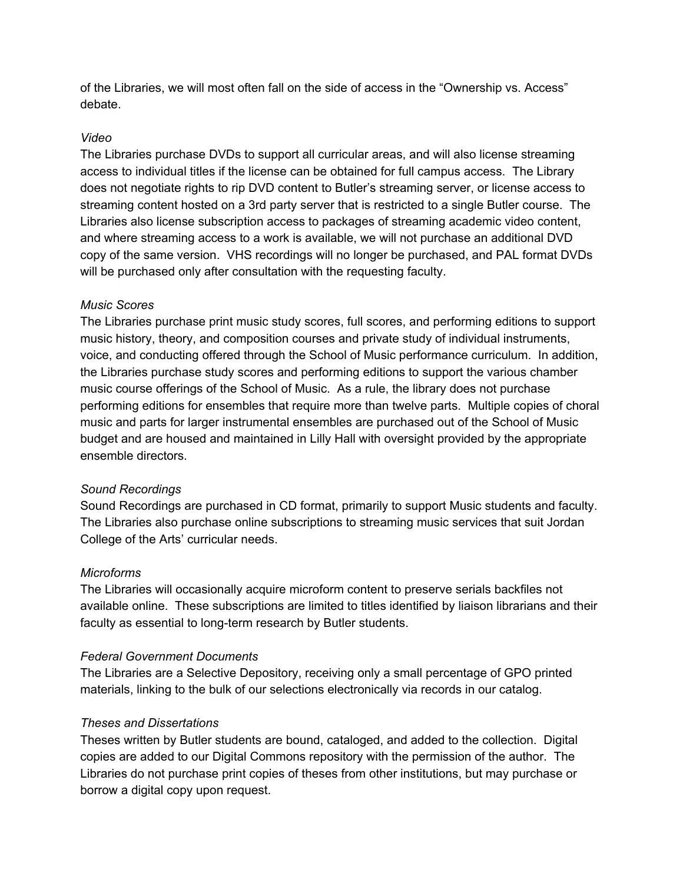of the Libraries, we will most often fall on the side of access in the "Ownership vs. Access" debate.

## *Video*

The Libraries purchase DVDs to support all curricular areas, and will also license streaming access to individual titles if the license can be obtained for full campus access. The Library does not negotiate rights to rip DVD content to Butler's streaming server, or license access to streaming content hosted on a 3rd party server that is restricted to a single Butler course. The Libraries also license subscription access to packages of streaming academic video content, and where streaming access to a work is available, we will not purchase an additional DVD copy of the same version. VHS recordings will no longer be purchased, and PAL format DVDs will be purchased only after consultation with the requesting faculty.

## *Music Scores*

The Libraries purchase print music study scores, full scores, and performing editions to support music history, theory, and composition courses and private study of individual instruments, voice, and conducting offered through the School of Music performance curriculum. In addition, the Libraries purchase study scores and performing editions to support the various chamber music course offerings of the School of Music. As a rule, the library does not purchase performing editions for ensembles that require more than twelve parts. Multiple copies of choral music and parts for larger instrumental ensembles are purchased out of the School of Music budget and are housed and maintained in Lilly Hall with oversight provided by the appropriate ensemble directors.

#### *Sound Recordings*

Sound Recordings are purchased in CD format, primarily to support Music students and faculty. The Libraries also purchase online subscriptions to streaming music services that suit Jordan College of the Arts' curricular needs.

# *Microforms*

The Libraries will occasionally acquire microform content to preserve serials backfiles not available online. These subscriptions are limited to titles identified by liaison librarians and their faculty as essential to long-term research by Butler students.

# *Federal Government Documents*

The Libraries are a Selective Depository, receiving only a small percentage of GPO printed materials, linking to the bulk of our selections electronically via records in our catalog.

#### *Theses and Dissertations*

Theses written by Butler students are bound, cataloged, and added to the collection. Digital copies are added to our Digital Commons repository with the permission of the author. The Libraries do not purchase print copies of theses from other institutions, but may purchase or borrow a digital copy upon request.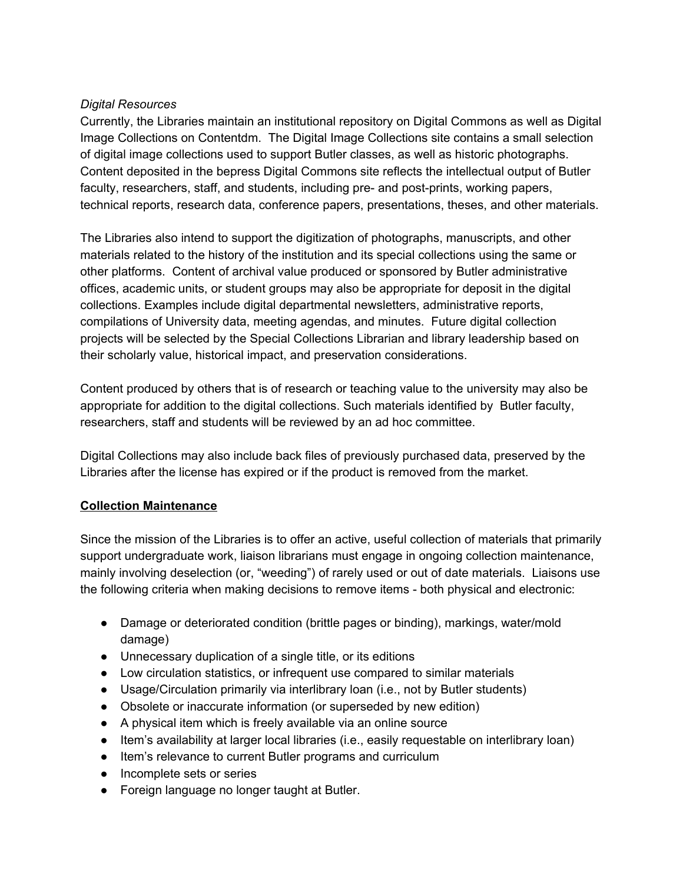## *Digital Resources*

Currently, the Libraries maintain an institutional repository on Digital Commons as well as Digital Image Collections on Contentdm. The Digital Image Collections site contains a small selection of digital image collections used to support Butler classes, as well as historic photographs. Content deposited in the bepress Digital Commons site reflects the intellectual output of Butler faculty, researchers, staff, and students, including pre- and post-prints, working papers, technical reports, research data, conference papers, presentations, theses, and other materials.

The Libraries also intend to support the digitization of photographs, manuscripts, and other materials related to the history of the institution and its special collections using the same or other platforms. Content of archival value produced or sponsored by Butler administrative offices, academic units, or student groups may also be appropriate for deposit in the digital collections. Examples include digital departmental newsletters, administrative reports, compilations of University data, meeting agendas, and minutes. Future digital collection projects will be selected by the Special Collections Librarian and library leadership based on their scholarly value, historical impact, and preservation considerations.

Content produced by others that is of research or teaching value to the university may also be appropriate for addition to the digital collections. Such materials identified by Butler faculty, researchers, staff and students will be reviewed by an ad hoc committee.

Digital Collections may also include back files of previously purchased data, preserved by the Libraries after the license has expired or if the product is removed from the market.

# **Collection Maintenance**

Since the mission of the Libraries is to offer an active, useful collection of materials that primarily support undergraduate work, liaison librarians must engage in ongoing collection maintenance, mainly involving deselection (or, "weeding") of rarely used or out of date materials. Liaisons use the following criteria when making decisions to remove items - both physical and electronic:

- Damage or deteriorated condition (brittle pages or binding), markings, water/mold damage)
- Unnecessary duplication of a single title, or its editions
- Low circulation statistics, or infrequent use compared to similar materials
- Usage/Circulation primarily via interlibrary loan (i.e., not by Butler students)
- Obsolete or inaccurate information (or superseded by new edition)
- A physical item which is freely available via an online source
- Item's availability at larger local libraries (i.e., easily requestable on interlibrary loan)
- Item's relevance to current Butler programs and curriculum
- Incomplete sets or series
- Foreign language no longer taught at Butler.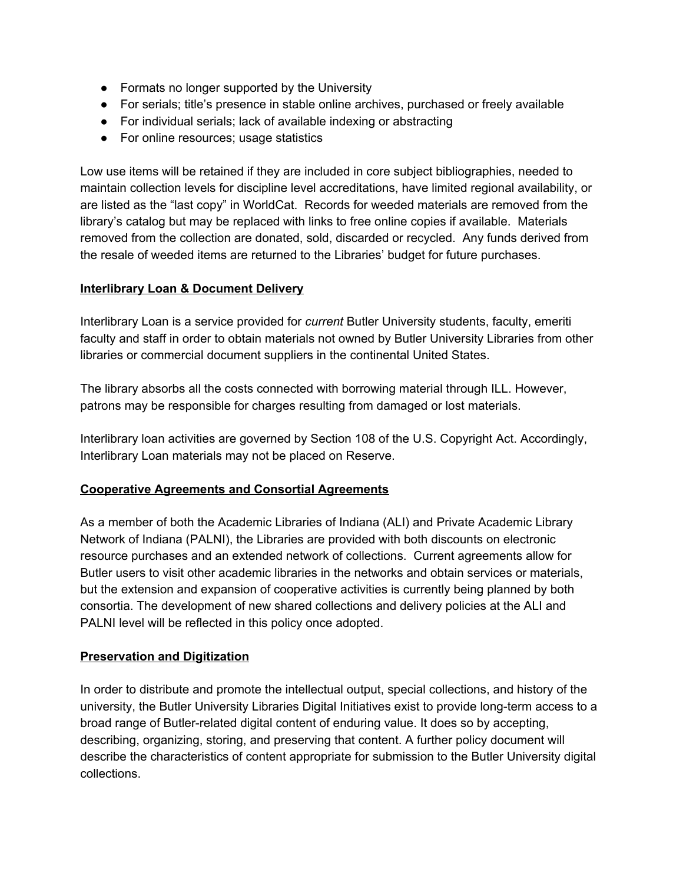- Formats no longer supported by the University
- For serials; title's presence in stable online archives, purchased or freely available
- For individual serials; lack of available indexing or abstracting
- For online resources; usage statistics

Low use items will be retained if they are included in core subject bibliographies, needed to maintain collection levels for discipline level accreditations, have limited regional availability, or are listed as the "last copy" in WorldCat. Records for weeded materials are removed from the library's catalog but may be replaced with links to free online copies if available. Materials removed from the collection are donated, sold, discarded or recycled. Any funds derived from the resale of weeded items are returned to the Libraries' budget for future purchases.

# **Interlibrary Loan & Document Delivery**

Interlibrary Loan is a service provided for *current* Butler University students, faculty, emeriti faculty and staff in order to obtain materials not owned by Butler University Libraries from other libraries or commercial document suppliers in the continental United States.

The library absorbs all the costs connected with borrowing material through ILL. However, patrons may be responsible for charges resulting from damaged or lost materials.

Interlibrary loan activities are governed by Section 108 of the U.S. Copyright Act. Accordingly, Interlibrary Loan materials may not be placed on Reserve.

#### **Cooperative Agreements and Consortial Agreements**

As a member of both the Academic Libraries of Indiana (ALI) and Private Academic Library Network of Indiana (PALNI), the Libraries are provided with both discounts on electronic resource purchases and an extended network of collections. Current agreements allow for Butler users to visit other academic libraries in the networks and obtain services or materials, but the extension and expansion of cooperative activities is currently being planned by both consortia. The development of new shared collections and delivery policies at the ALI and PALNI level will be reflected in this policy once adopted.

# **Preservation and Digitization**

In order to distribute and promote the intellectual output, special collections, and history of the university, the Butler University Libraries Digital Initiatives exist to provide long-term access to a broad range of Butler-related digital content of enduring value. It does so by accepting, describing, organizing, storing, and preserving that content. A further policy document will describe the characteristics of content appropriate for submission to the Butler University digital collections.